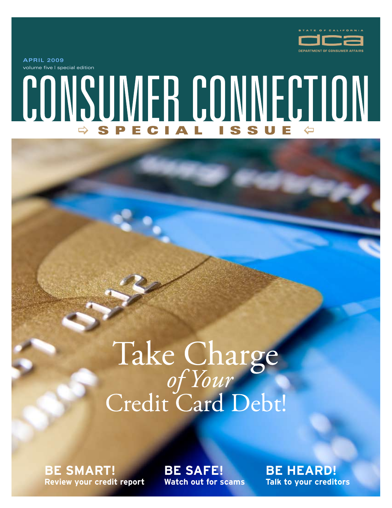

volume five | special edition **APRIL 2009**

# CONSUMER CONNECTION  $\Rightarrow$  SPECIAL ISSUE  $\Leftrightarrow$

# Take Charge<br>of Your<br>Credit Card Debt!

**Be Smart! Review your credit report** **Be Safe! Watch out for scams** **Be Heard! Talk to your creditors**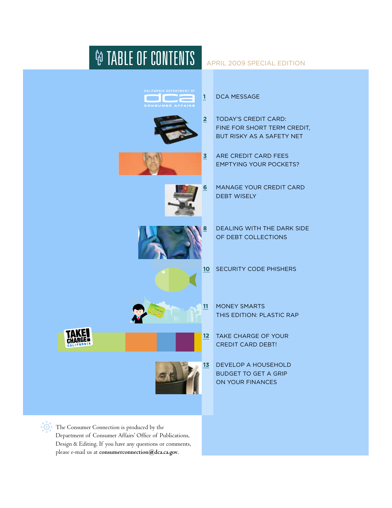

Design & Editing. If you have any questions or comments, please e-mail us at **consumerconnection@dca.ca.gov**.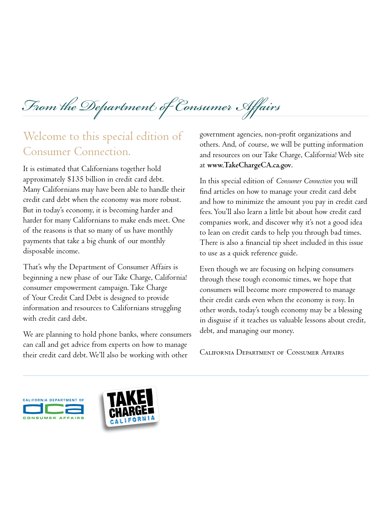*From the Department of Consumer Affairs*

### Welcome to this special edition of Consumer Connection.

It is estimated that Californians together hold approximately \$135 billion in credit card debt. Many Californians may have been able to handle their credit card debt when the economy was more robust. But in today's economy, it is becoming harder and harder for many Californians to make ends meet. One of the reasons is that so many of us have monthly payments that take a big chunk of our monthly disposable income.

That's why the Department of Consumer Affairs is beginning a new phase of our Take Charge, California! consumer empowerment campaign. Take Charge of Your Credit Card Debt is designed to provide information and resources to Californians struggling with credit card debt.

We are planning to hold phone banks, where consumers can call and get advice from experts on how to manage their credit card debt. We'll also be working with other

government agencies, non-profit organizations and others. And, of course, we will be putting information and resources on our Take Charge, California! Web site at **www.TakeChargeCA.ca.gov**.

In this special edition of *Consumer Connection* you will find articles on how to manage your credit card debt and how to minimize the amount you pay in credit card fees. You'll also learn a little bit about how credit card companies work, and discover why it's not a good idea to lean on credit cards to help you through bad times. There is also a financial tip sheet included in this issue to use as a quick reference guide.

Even though we are focusing on helping consumers through these tough economic times, we hope that consumers will become more empowered to manage their credit cards even when the economy is rosy. In other words, today's tough economy may be a blessing in disguise if it teaches us valuable lessons about credit, debt, and managing our money.

California Department of Consumer Affairs



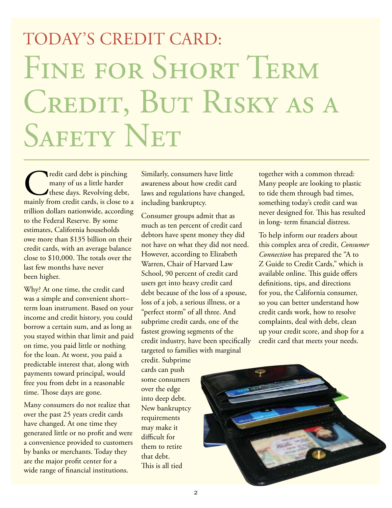# TODAY'S CREDIT CARD: Fine for Short Term CREDIT, BUT RISKY AS A SAFETY NET

Tredit card debt is pinching<br>
many of us a little harder<br>
these days. Revolving debt,<br>
mainly from credit cards, is close to a many of us a little harder these days. Revolving debt, trillion dollars nationwide, according to the Federal Reserve. By some estimates, California households owe more than \$135 billion on their credit cards, with an average balance close to \$10,000. The totals over the last few months have never been higher.

Why? At one time, the credit card was a simple and convenient short– term loan instrument. Based on your income and credit history, you could borrow a certain sum, and as long as you stayed within that limit and paid on time, you paid little or nothing for the loan. At worst, you paid a predictable interest that, along with payments toward principal, would free you from debt in a reasonable time. Those days are gone.

Many consumers do not realize that over the past 25 years credit cards have changed. At one time they generated little or no profit and were a convenience provided to customers by banks or merchants. Today they are the major profit center for a wide range of financial institutions.

Similarly, consumers have little awareness about how credit card laws and regulations have changed, including bankruptcy.

Consumer groups admit that as much as ten percent of credit card debtors have spent money they did not have on what they did not need. However, according to Elizabeth Warren, Chair of Harvard Law School, 90 percent of credit card users get into heavy credit card debt because of the loss of a spouse, loss of a job, a serious illness, or a "perfect storm" of all three. And subprime credit cards, one of the fastest growing segments of the credit industry, have been specifically targeted to families with marginal

credit. Subprime cards can push some consumers over the edge into deep debt. New bankruptcy requirements may make it difficult for them to retire that debt. This is all tied

together with a common thread: Many people are looking to plastic to tide them through bad times, something today's credit card was never designed for. This has resulted in long- term financial distress.

To help inform our readers about this complex area of credit, *Consumer Connection* has prepared the "A to Z Guide to Credit Cards," which is available online. This guide offers definitions, tips, and directions for you, the California consumer, so you can better understand how credit cards work, how to resolve complaints, deal with debt, clean up your credit score, and shop for a credit card that meets your needs.

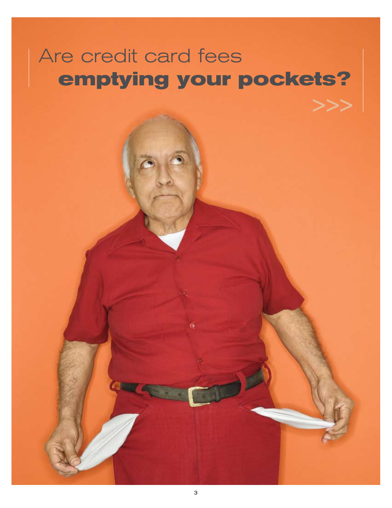# Are credit card fees **emptying your pockets?**

>>>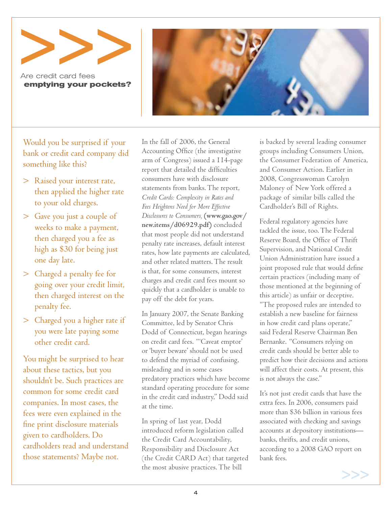Are credit card fees **emptying your pockets?**



Would you be surprised if your bank or credit card company did something like this?

- > Raised your interest rate, then applied the higher rate to your old charges.
- > Gave you just a couple of weeks to make a payment, then charged you a fee as high as \$30 for being just one day late.
- > Charged a penalty fee for going over your credit limit, then charged interest on the penalty fee.
- > Charged you a higher rate if you were late paying some other credit card.

You might be surprised to hear about these tactics, but you shouldn't be. Such practices are common for some credit card companies. In most cases, the fees were even explained in the fine print disclosure materials given to cardholders. Do cardholders read and understand those statements? Maybe not.

In the fall of 2006, the General Accounting Office (the investigative arm of Congress) issued a 114-page report that detailed the difficulties consumers have with disclosure statements from banks. The report, *Credit Cards: Complexity in Rates and Fees Heightens Need for More Effective Disclosures to Consumers,* **(www.gao.gov/ new.items/d06929.pdf)** concluded that most people did not understand penalty rate increases, default interest rates, how late payments are calculated, and other related matters. The result is that, for some consumers, interest charges and credit card fees mount so quickly that a cardholder is unable to pay off the debt for years.

In January 2007, the Senate Banking Committee, led by Senator Chris Dodd of Connecticut, began hearings on credit card fees. "'Caveat emptor' or 'buyer beware' should not be used to defend the myriad of confusing, misleading and in some cases predatory practices which have become standard operating procedure for some in the credit card industry," Dodd said at the time.

In spring of last year, Dodd introduced reform legislation called the Credit Card Accountability, Responsibility and Disclosure Act (the Credit CARD Act) that targeted the most abusive practices. The bill

is backed by several leading consumer groups including Consumers Union, the Consumer Federation of America, and Consumer Action. Earlier in 2008, Congresswoman Carolyn Maloney of New York offered a package of similar bills called the Cardholder's Bill of Rights.

Federal regulatory agencies have tackled the issue, too. The Federal Reserve Board, the Office of Thrift Supervision, and National Credit Union Administration have issued a joint proposed rule that would define certain practices (including many of those mentioned at the beginning of this article) as unfair or deceptive. "The proposed rules are intended to establish a new baseline for fairness in how credit card plans operate," said Federal Reserve Chairman Ben Bernanke. "Consumers relying on credit cards should be better able to predict how their decisions and actions will affect their costs. At present, this is not always the case."

It's not just credit cards that have the extra fees. In 2006, consumers paid more than \$36 billion in various fees associated with checking and savings accounts at depository institutions banks, thrifts, and credit unions, according to a 2008 GAO report on bank fees.

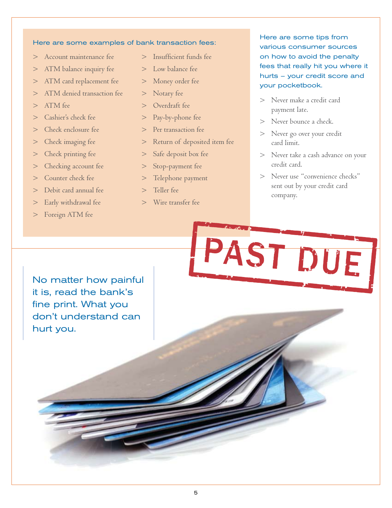### Here are some examples of bank transaction fees:

- > Account maintenance fee
- > ATM balance inquiry fee
- > ATM card replacement fee
- > ATM denied transaction fee
- > ATM fee
- > Cashier's check fee
- > Check enclosure fee
- > Check imaging fee
- > Check printing fee
- > Checking account fee
- > Counter check fee
- > Debit card annual fee
- > Early withdrawal fee
- > Foreign ATM fee
- > Insufficient funds fee
- > Low balance fee
- > Money order fee
- > Notary fee
- > Overdraft fee
- > Pay-by-phone fee
- > Per transaction fee
- > Return of deposited item fee
- > Safe deposit box fee
- > Stop-payment fee
- > Telephone payment
- > Teller fee
- > Wire transfer fee

### Here are some tips from various consumer sources on how to avoid the penalty fees that really hit you where it hurts – your credit score and your pocketbook.

- > Never make a credit card payment late.
- Never bounce a check.
- > Never go over your credit card limit.
- > Never take a cash advance on your credit card.
- > Never use "convenience checks" sent out by your credit card company.

ST DUE

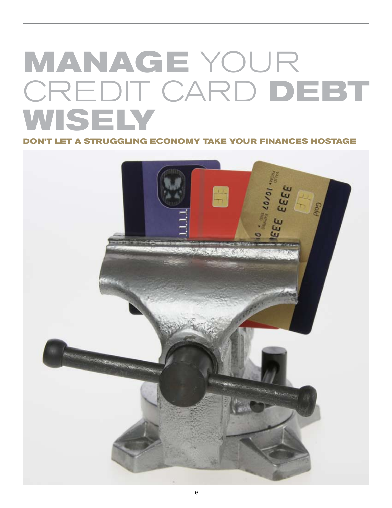# **Manage** Your Credit Card **Debt wisely**

**Don't let a struggling economy take your finances hostage**

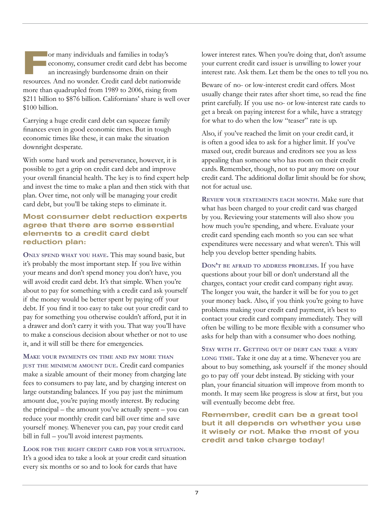For many individuals and families in today's<br>
For economy, consumer credit card debt has be<br>
an increasingly burdensome drain on their<br> **FEGOUICES** And no wonder Credit card debt nations economy, consumer credit card debt has become an increasingly burdensome drain on their resources. And no wonder. Credit card debt nationwide more than quadrupled from 1989 to 2006, rising from \$211 billion to \$876 billion. Californians' share is well over \$100 billion.

Carrying a huge credit card debt can squeeze family finances even in good economic times. But in tough economic times like these, it can make the situation downright desperate.

With some hard work and perseverance, however, it is possible to get a grip on credit card debt and improve your overall financial health. The key is to find expert help and invest the time to make a plan and then stick with that plan. Over time, not only will be managing your credit card debt, but you'll be taking steps to eliminate it.

### Most consumer debt reduction experts agree that there are some essential elements to a credit card debt reduction plan:

**Only spend what you have.** This may sound basic, but it's probably the most important step. If you live within your means and don't spend money you don't have, you will avoid credit card debt. It's that simple. When you're about to pay for something with a credit card ask yourself if the money would be better spent by paying off your debt. If you find it too easy to take out your credit card to pay for something you otherwise couldn't afford, put it in a drawer and don't carry it with you. That way you'll have to make a conscious decision about whether or not to use it, and it will still be there for emergencies.

**Make your payments on time and pay more than just the minimum amount due.** Credit card companies make a sizable amount of their money from charging late fees to consumers to pay late, and by charging interest on large outstanding balances. If you pay just the minimum amount due, you're paying mostly interest. By reducing the principal – the amount you've actually spent – you can reduce your monthly credit card bill over time and save yourself money. Whenever you can, pay your credit card bill in full – you'll avoid interest payments.

**Look for the right credit card for your situation.** It's a good idea to take a look at your credit card situation every six months or so and to look for cards that have

lower interest rates. When you're doing that, don't assume your current credit card issuer is unwilling to lower your interest rate. Ask them. Let them be the ones to tell you no.

Beware of no- or low-interest credit card offers. Most usually change their rates after short time, so read the fine print carefully. If you use no- or low-interest rate cards to get a break on paying interest for a while, have a strategy for what to do when the low "teaser" rate is up.

Also, if you've reached the limit on your credit card, it is often a good idea to ask for a higher limit. If you've maxed out, credit bureaus and creditors see you as less appealing than someone who has room on their credit cards. Remember, though, not to put any more on your credit card. The additional dollar limit should be for show, not for actual use.

**Review your statements each month.** Make sure that what has been charged to your credit card was charged by you. Reviewing your statements will also show you how much you're spending, and where. Evaluate your credit card spending each month so you can see what expenditures were necessary and what weren't. This will help you develop better spending habits.

**Don't be afraid to address problems.** If you have questions about your bill or don't understand all the charges, contact your credit card company right away. The longer you wait, the harder it will be for you to get your money back. Also, if you think you're going to have problems making your credit card payment, it's best to contact your credit card company immediately. They will often be willing to be more flexible with a consumer who asks for help than with a consumer who does nothing.

**Stay with it. Getting out of debt can take <sup>a</sup> very long time.** Take it one day at a time. Whenever you are about to buy something, ask yourself if the money should go to pay off your debt instead. By sticking with your plan, your financial situation will improve from month to month. It may seem like progress is slow at first, but you will eventually become debt free.

Remember, credit can be a great tool but it all depends on whether you use it wisely or not. Make the most of you credit and take charge today!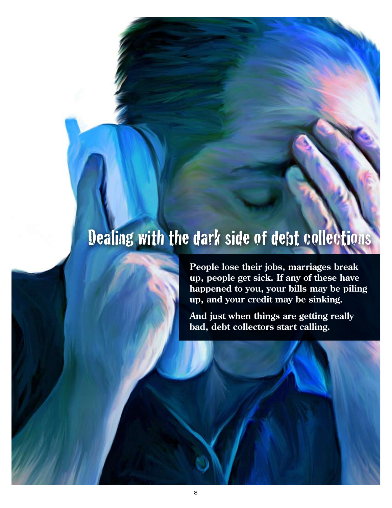# Dealing with the dark side of debt collections



**People lose their jobs, marriages break up, people get sick. If any of these have happened to you, your bills may be piling up, and your credit may be sinking.**

**And just when things are getting really bad, debt collectors start calling.**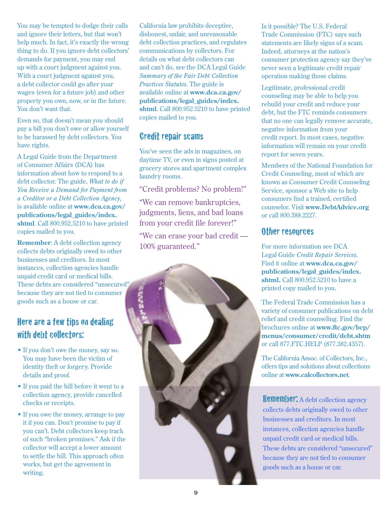You may be tempted to dodge their calls and ignore their letters, but that won't help much. In fact, it's exactly the wrong thing to do. If you ignore debt collectors' demands for payment, you may end up with a court judgment against you. With a court judgment against you, a debt collector could go after your wages (even for a future job) and other property you own, now, or in the future. You don't want that.

Even so, that doesn't mean you should pay a bill you don't owe or allow yourself to be harassed by debt collectors. You have rights.

A Legal Guide from the Department of Consumer Affairs (DCA) has information about how to respond to a debt collector. The guide, *What to do if You Receive a Demand for Payment from a Creditor or a Debt Collection Agency*, is available online at **www.dca.ca.gov/ publications/legal\_guides/index. shtml**. Call 800.952.5210 to have printed copies mailed to you.

**Remember**: A debt collection agency collects debts originally owed to other businesses and creditors. In most instances, collection agencies handle unpaid credit card or medical bills. These debts are considered "unsecured" because they are not tied to consumer goods such as a house or car.

### Here are a few tips on dealing with debt collectors:

- If you don't owe the money, say so. You may have been the victim of identity theft or forgery. Provide details and proof.
- If you paid the bill before it went to a collection agency, provide cancelled checks or receipts.
- If you owe the money, arrange to pay it if you can. Don't promise to pay if you can't. Debt collectors keep track of such "broken promises." Ask if the collector will accept a lower amount to settle the bill. This approach often works, but get the agreement in writing.

California law prohibits deceptive, dishonest, unfair, and unreasonable debt collection practices, and regulates communications by collectors. For details on what debt collectors can and can't do, see the DCA Legal Guide *Summary of the Fair Debt Collection Practices Statutes*. The guide is available online at **www.dca.ca.gov/ publications/legal\_guides/index. shtml**. Call 800.952.5210 to have printed copies mailed to you.

### Credit repair scams

You've seen the ads in magazines, on daytime TV, or even in signs posted at grocery stores and apartment complex laundry rooms.

"Credit problems? No problem!"

"We can remove bankruptcies, judgments, liens, and bad loans from your credit file forever!"

"We can erase your bad credit — 100% guaranteed."



Legitimate, professional credit counseling may be able to help you rebuild your credit and reduce your debt, but the FTC reminds consumers that no one can legally remove accurate, negative information from your credit report. In most cases, negative information will remain on your credit report for seven years.

Members of the National Foundation for Credit Counseling, most of which are known as Consumer Credit Counseling Service, sponsor a Web site to help consumers find a trained, certified counselor. Visit **www.DebtAdvice.org** or call 800.388.2227.

### Other resources

For more information see DCA Legal Guide *Credit Repair Services*. Find it online at **www.dca.ca.gov/ publications/legal\_guides/index. shtml.** Call 800.952.5210 to have a printed copy mailed to you.

The Federal Trade Commission has a variety of consumer publications on debt relief and credit counseling. Find the brochures online at **www.ftc.gov/bcp/ menus/consumer/credit/debt.shtm** or call 877.FTC.HELP (877.382.4357).

The California Assoc. of Collectors, Inc., offers tips and solutions about collections online at **www.calcollectors.net**.

Remember: A debt collection agency collects debts originally owed to other businesses and creditors. In most instances, collection agencies handle unpaid credit card or medical bills. These debts are considered "unsecured" because they are not tied to consumer goods such as a house or car.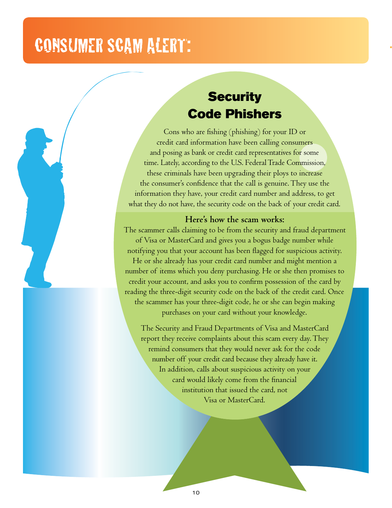## **CONSUMER SCAM ALERT:**

### **Security** Code Phishers

Cons who are fishing (phishing) for your ID or credit card information have been calling consumers and posing as bank or credit card representatives for some time. Lately, according to the U.S. Federal Trade Commission, these criminals have been upgrading their ploys to increase the consumer's confidence that the call is genuine. They use the information they have, your credit card number and address, to get what they do not have, the security code on the back of your credit card.

### **Here's how the scam works:**

The scammer calls claiming to be from the security and fraud department of Visa or MasterCard and gives you a bogus badge number while notifying you that your account has been flagged for suspicious activity. He or she already has your credit card number and might mention a number of items which you deny purchasing. He or she then promises to credit your account, and asks you to confirm possession of the card by reading the three-digit security code on the back of the credit card. Once the scammer has your three-digit code, he or she can begin making

purchases on your card without your knowledge.

The Security and Fraud Departments of Visa and MasterCard report they receive complaints about this scam every day. They remind consumers that they would never ask for the code number off your credit card because they already have it. In addition, calls about suspicious activity on your card would likely come from the financial institution that issued the card, not Visa or MasterCard.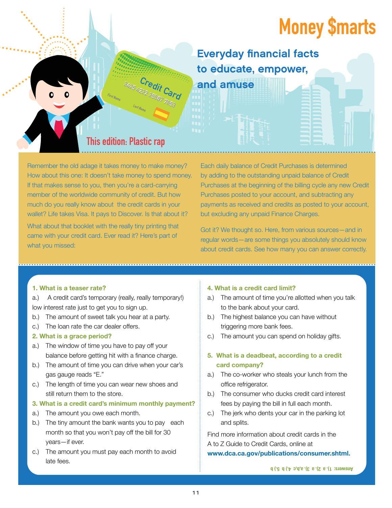# **Money \$marts**

Everyday financial facts to educate, empower, and amuse

### This edition: Plastic rap

Suzis Lizedit Card

Remember the old adage it takes money to make money? How about this one: It doesn't take money to spend money. If that makes sense to you, then you're a card-carrying member of the worldwide community of credit. But how much do you really know about the credit cards in your wallet? Life takes Visa. It pays to Discover. Is that about it?

What about that booklet with the really tiny printing that came with your credit card. Ever read it? Here's part of what you missed:

Each daily balance of Credit Purchases is determined by adding to the outstanding unpaid balance of Credit Purchases at the beginning of the billing cycle any new Credit Purchases posted to your account, and subtracting any payments as received and credits as posted to your account, but excluding any unpaid Finance Charges.

Got it? We thought so. Here, from various sources—and in regular words—are some things you absolutely should know about credit cards. See how many you can answer correctly.

### **1. What is a teaser rate?**

- a.) A credit card's temporary (really, really temporary!) low interest rate just to get you to sign up.
- b.) The amount of sweet talk you hear at a party.
- c.) The loan rate the car dealer offers.

### **2. What is a grace period?**

- a.) The window of time you have to pay off your balance before getting hit with a finance charge.
- b.) The amount of time you can drive when your car's gas gauge reads "E."
- c.) The length of time you can wear new shoes and still return them to the store.

### **3. What is a credit card's minimum monthly payment?**

- a.) The amount you owe each month.
- b.) The tiny amount the bank wants you to pay each month so that you won't pay off the bill for 30 years—if ever.
- c.) The amount you must pay each month to avoid late fees.

### **4. What is a credit card limit?**

- a.) The amount of time you're allotted when you talk to the bank about your card.
- b.) The highest balance you can have without triggering more bank fees.
- c.) The amount you can spend on holiday gifts.

### **5. What is a deadbeat, according to a credit card company?**

- a.) The co-worker who steals your lunch from the office refrigerator.
- b.) The consumer who ducks credit card interest fees by paying the bill in full each month.
- c.) The jerk who dents your car in the parking lot and splits.

Find more information about credit cards in the A to Z Guide to Credit Cards, online at

### **www.dca.ca.gov/publications/consumer.shtml.**

**Answers: 1). a 2). a 3). a,b,c 4.) b 5.) b**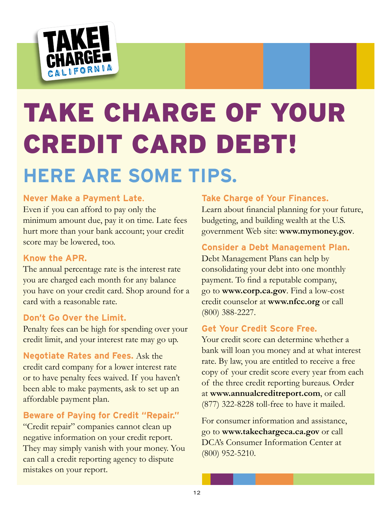

# Take Charge of Your Credit Card Debt! **Here are some tips.**

### **Never Make a Payment Late**.

Even if you can afford to pay only the minimum amount due, pay it on time. Late fees hurt more than your bank account; your credit score may be lowered, too.

### **Know the APR.**

The annual percentage rate is the interest rate you are charged each month for any balance you have on your credit card. Shop around for a card with a reasonable rate.

### **Don't Go Over the Limit.**

Penalty fees can be high for spending over your credit limit, and your interest rate may go up.

**Negotiate Rates and Fees.** Ask the credit card company for a lower interest rate or to have penalty fees waived. If you haven't been able to make payments, ask to set up an affordable payment plan.

### **Beware of Paying for Credit "Repair."**

"Credit repair" companies cannot clean up negative information on your credit report. They may simply vanish with your money. You can call a credit reporting agency to dispute mistakes on your report.

### **Take Charge of Your Finances.**

Learn about financial planning for your future, budgeting, and building wealth at the U.S. government Web site: **www.mymoney.gov**.

### **Consider a Debt Management Plan.**

Debt Management Plans can help by consolidating your debt into one monthly payment. To find a reputable company, go to **www.corp.ca.gov**. Find a low-cost credit counselor at **www.nfcc.org** or call (800) 388-2227.

### **Get Your Credit Score Free.**

Your credit score can determine whether a bank will loan you money and at what interest rate. By law, you are entitled to receive a free copy of your credit score every year from each of the three credit reporting bureaus. Order at **www.annualcreditreport.com**, or call (877) 322-8228 toll-free to have it mailed.

For consumer information and assistance, go to **www.takechargeca.ca.gov** or call DCA's Consumer Information Center at (800) 952-5210.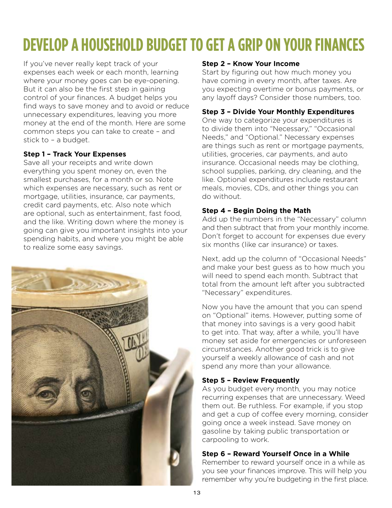# **Develop a Household Budget to Get a Grip on Your Finances**

If you've never really kept track of your expenses each week or each month, learning where your money goes can be eye-opening. But it can also be the first step in gaining control of your finances. A budget helps you find ways to save money and to avoid or reduce unnecessary expenditures, leaving you more money at the end of the month. Here are some common steps you can take to create – and stick to – a budget.

### **Step 1 – Track Your Expenses**

Save all your receipts and write down everything you spent money on, even the smallest purchases, for a month or so. Note which expenses are necessary, such as rent or mortgage, utilities, insurance, car payments, credit card payments, etc. Also note which are optional, such as entertainment, fast food, and the like. Writing down where the money is going can give you important insights into your spending habits, and where you might be able to realize some easy savings.



### **Step 2 – Know Your Income**

Start by figuring out how much money you have coming in every month, after taxes. Are you expecting overtime or bonus payments, or any layoff days? Consider those numbers, too.

### **Step 3 – Divide Your Monthly Expenditures**

One way to categorize your expenditures is to divide them into "Necessary," "Occasional Needs," and "Optional." Necessary expenses are things such as rent or mortgage payments, utilities, groceries, car payments, and auto insurance. Occasional needs may be clothing, school supplies, parking, dry cleaning, and the like. Optional expenditures include restaurant meals, movies, CDs, and other things you can do without.

### **Step 4 – Begin Doing the Math**

Add up the numbers in the "Necessary" column and then subtract that from your monthly income. Don't forget to account for expenses due every six months (like car insurance) or taxes.

Next, add up the column of "Occasional Needs" and make your best guess as to how much you will need to spend each month. Subtract that total from the amount left after you subtracted "Necessary" expenditures.

Now you have the amount that you can spend on "Optional" items. However, putting some of that money into savings is a very good habit to get into. That way, after a while, you'll have money set aside for emergencies or unforeseen circumstances. Another good trick is to give yourself a weekly allowance of cash and not spend any more than your allowance.

### **Step 5 – Review Frequently**

As you budget every month, you may notice recurring expenses that are unnecessary. Weed them out. Be ruthless. For example, if you stop and get a cup of coffee every morning, consider going once a week instead. Save money on gasoline by taking public transportation or carpooling to work.

### **Step 6 – Reward Yourself Once in a While**

Remember to reward yourself once in a while as you see your finances improve. This will help you remember why you're budgeting in the first place.